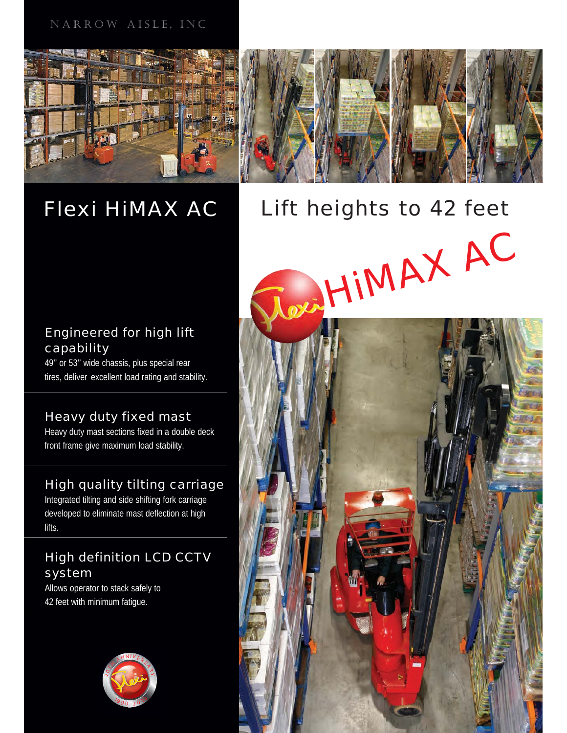# NARROW AISLE, INC



# Flexi HiMAX AC



# Engineered for high lift capability

49'' or 53'' wide chassis, plus special rear tires, deliver excellent load rating and stability.

# Heavy duty fixed mast

Heavy duty mast sections fixed in a double deck front frame give maximum load stability.

# High quality tilting carriage

Integrated tilting and side shifting fork carriage developed to eliminate mast deflection at high lifts.

# High definition LCD CCTV system

Allows operator to stack safely to 42 feet with minimum fatigue.



Lift heights to 42 feet DE HIMAX AC